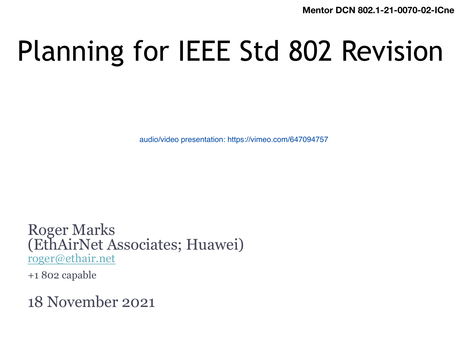**Mentor DCN 802.1-21** 

# Planning for IEEE Std 802 Revi

audio/video presentation: https://vimeo.com/647094757

Roger Marks (EthAirNet Associates; Huawei) roger@ethair.net

+1 802 capable

18 November 2021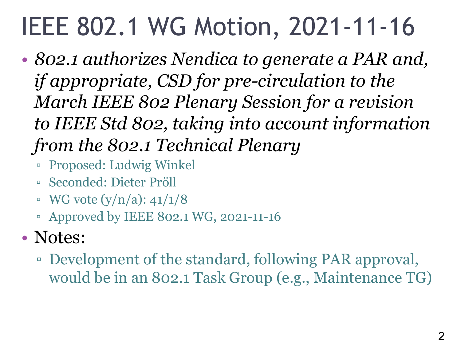## IEEE 802.1 WG Motion, 2021-11-16

- *802.1 authorizes Nendica to generate a PAR and, if appropriate, CSD for pre-circulation to the March IEEE 802 Plenary Session for a revision to IEEE Std 802, taking into account information from the 802.1 Technical Plenary*
	- Proposed: Ludwig Winkel
	- Seconded: Dieter Pröll
	- $\bullet$  WG vote (y/n/a): 41/1/8
	- Approved by IEEE 802.1 WG, 2021-11-16

#### • Notes:

▫ Development of the standard, following PAR approval, would be in an 802.1 Task Group (e.g., Maintenance TG)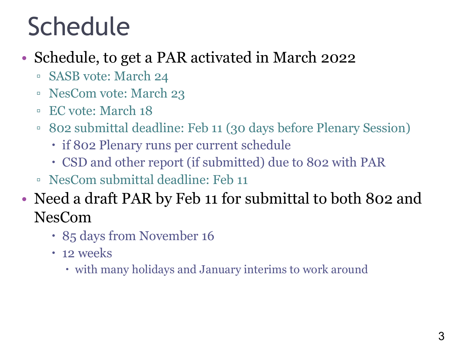### Schedule

- Schedule, to get a PAR activated in March 2022
	- SASB vote: March 24
	- NesCom vote: March 23
	- EC vote: March 18
	- 802 submittal deadline: Feb 11 (30 days before Plenary Session)
		- if 802 Plenary runs per current schedule
		- CSD and other report (if submitted) due to 802 with PAR
	- NesCom submittal deadline: Feb 11
- Need a draft PAR by Feb 11 for submittal to both 802 and NesCom
	- 85 days from November 16
	- 12 weeks
		- with many holidays and January interims to work around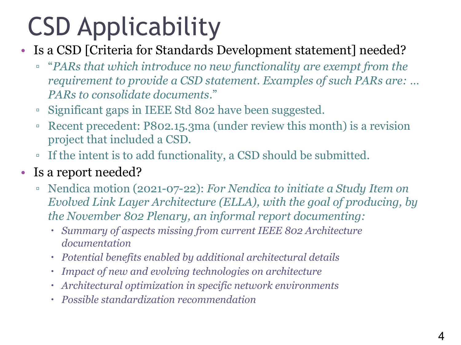# CSD Applicability

- Is a CSD [Criteria for Standards Development statement] needed?
	- "*PARs that which introduce no new functionality are exempt from the requirement to provide a CSD statement. Examples of such PARs are: … PARs to consolidate documents*."
	- Significant gaps in IEEE Std 802 have been suggested.
	- Recent precedent: P802.15.3ma (under review this month) is a revision project that included a CSD.
	- If the intent is to add functionality, a CSD should be submitted.
- Is a report needed?
	- Nendica motion (2021-07-22): *For Nendica to initiate a Study Item on Evolved Link Layer Architecture (ELLA), with the goal of producing, by the November 802 Plenary, an informal report documenting:*
		- *Summary of aspects missing from current IEEE 802 Architecture documentation*
		- *Potential benefits enabled by additional architectural details*
		- *Impact of new and evolving technologies on architecture*
		- *Architectural optimization in specific network environments*
		- *Possible standardization recommendation*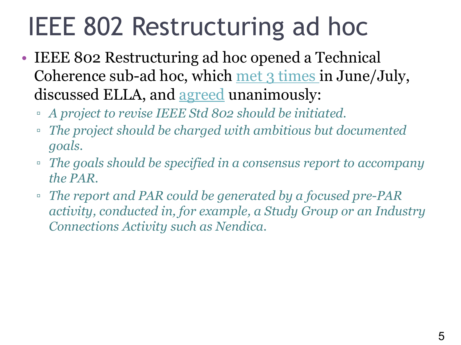# IEEE 802 Restructuring ad hoc

- IEEE 802 Restructuring ad hoc opened a Technical Coherence sub-ad hoc, which met 3 times in June/Ju discussed ELLA, and agreed unanimously:
	- *A project to revise IEEE Std 802 should be initiated.*
	- <sup>□</sup> The project should be charged with ambitious but document *goals.*
	- *The goals should be specified in a consensus report to accompany the PAR.*
	- The report and PAR could be generated by a focused pre-PA *activity, conducted in, for example, a Study Group or an Industry and*  $\eta$ *Connections Activity such as Nendica.*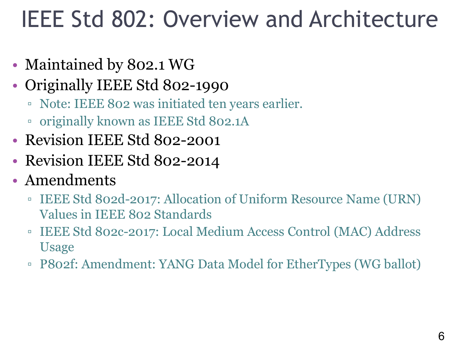### IEEE Std 802: Overview and Architecture

- Maintained by 802.1 WG
- Originally IEEE Std 802-1990
	- Note: IEEE 802 was initiated ten years earlier.
	- originally known as IEEE Std 802.1A
- Revision IEEE Std 802-2001
- Revision IEEE Std 802-2014
- Amendments
	- IEEE Std 802d-2017: Allocation of Uniform Resource Name (URN) Values in IEEE 802 Standards
	- IEEE Std 802c-2017: Local Medium Access Control (MAC) Address Usage
	- P802f: Amendment: YANG Data Model for EtherTypes (WG ballot)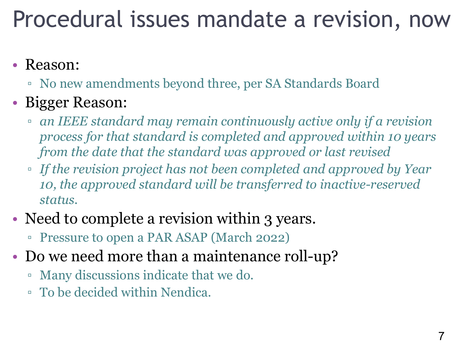### Procedural issues mandate a revision, now

#### • Reason:

▫ No new amendments beyond three, per SA Standards Board

#### • Bigger Reason:

- *an IEEE standard may remain continuously active only if a revision process for that standard is completed and approved within 10 years from the date that the standard was approved or last revised*
- *If the revision project has not been completed and approved by Year 10, the approved standard will be transferred to inactive-reserved status.*
- Need to complete a revision within 3 years.
	- Pressure to open a PAR ASAP (March 2022)
- Do we need more than a maintenance roll-up?
	- Many discussions indicate that we do.
	- To be decided within Nendica.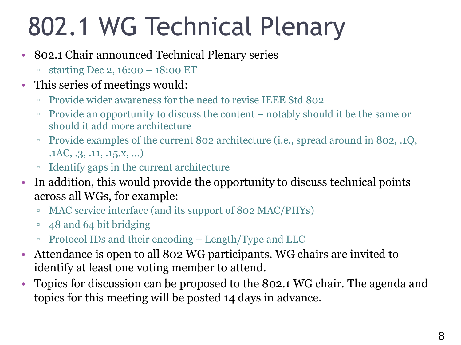# 802.1 WG Technical Plenary

- 802.1 Chair announced Technical Plenary series
	- starting Dec 2, 16:00 18:00 ET
- This series of meetings would:
	- Provide wider awareness for the need to revise IEEE Std 802
	- Provide an opportunity to discuss the content notably should it be the same or should it add more architecture
	- Provide examples of the current 802 architecture (i.e., spread around in 802, .1Q, .1AC, .3, .11, .15.x, …)
	- Identify gaps in the current architecture
- In addition, this would provide the opportunity to discuss technical points across all WGs, for example:
	- MAC service interface (and its support of 802 MAC/PHYs)
	- 48 and 64 bit bridging
	- Protocol IDs and their encoding Length/Type and LLC
- Attendance is open to all 802 WG participants. WG chairs are invited to identify at least one voting member to attend.
- Topics for discussion can be proposed to the 802.1 WG chair. The agenda and topics for this meeting will be posted 14 days in advance.